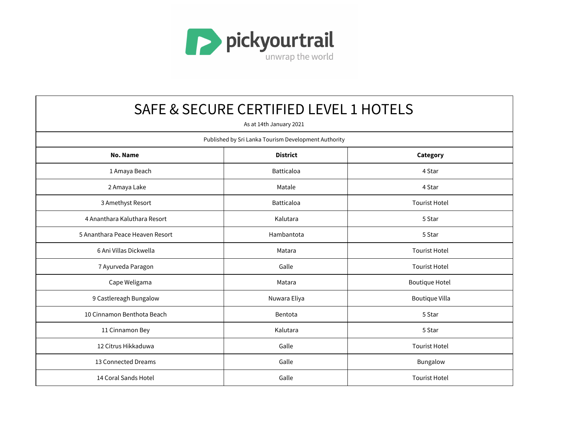

| <b>SAFE &amp; SECURE CERTIFIED LEVEL 1 HOTELS</b> |                                                      |                       |  |  |  |  |  |  |  |
|---------------------------------------------------|------------------------------------------------------|-----------------------|--|--|--|--|--|--|--|
| As at 14th January 2021                           |                                                      |                       |  |  |  |  |  |  |  |
|                                                   | Published by Sri Lanka Tourism Development Authority |                       |  |  |  |  |  |  |  |
| <b>No. Name</b><br><b>District</b><br>Category    |                                                      |                       |  |  |  |  |  |  |  |
| 1 Amaya Beach                                     | <b>Batticaloa</b>                                    | 4 Star                |  |  |  |  |  |  |  |
| 2 Amaya Lake                                      | Matale                                               | 4 Star                |  |  |  |  |  |  |  |
| 3 Amethyst Resort                                 | <b>Batticaloa</b>                                    | <b>Tourist Hotel</b>  |  |  |  |  |  |  |  |
| 4 Ananthara Kaluthara Resort                      | Kalutara                                             | 5 Star                |  |  |  |  |  |  |  |
| 5 Ananthara Peace Heaven Resort                   | Hambantota                                           | 5 Star                |  |  |  |  |  |  |  |
| 6 Ani Villas Dickwella                            | Matara                                               | <b>Tourist Hotel</b>  |  |  |  |  |  |  |  |
| 7 Ayurveda Paragon                                | Galle                                                | <b>Tourist Hotel</b>  |  |  |  |  |  |  |  |
| Cape Weligama                                     | Matara                                               | <b>Boutique Hotel</b> |  |  |  |  |  |  |  |
| 9 Castlereagh Bungalow                            | Nuwara Eliya                                         | <b>Boutique Villa</b> |  |  |  |  |  |  |  |
| 10 Cinnamon Benthota Beach                        | Bentota                                              | 5 Star                |  |  |  |  |  |  |  |
| 11 Cinnamon Bey                                   | Kalutara                                             | 5 Star                |  |  |  |  |  |  |  |
| 12 Citrus Hikkaduwa                               | Galle                                                | <b>Tourist Hotel</b>  |  |  |  |  |  |  |  |
| 13 Connected Dreams                               | Galle                                                | Bungalow              |  |  |  |  |  |  |  |
| 14 Coral Sands Hotel                              | Galle                                                | <b>Tourist Hotel</b>  |  |  |  |  |  |  |  |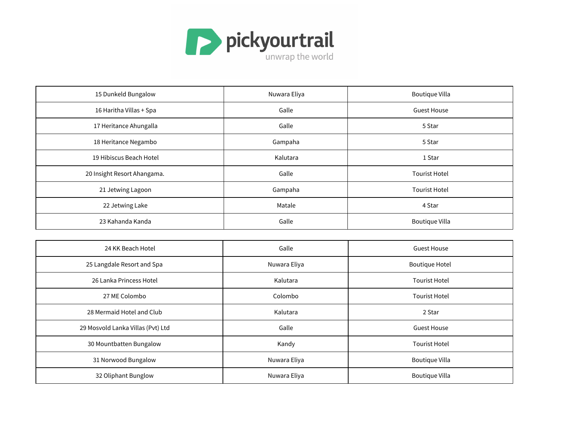

| 15 Dunkeld Bungalow         | Nuwara Eliya | <b>Boutique Villa</b> |
|-----------------------------|--------------|-----------------------|
| 16 Haritha Villas + Spa     | Galle        | <b>Guest House</b>    |
| 17 Heritance Ahungalla      | Galle        | 5 Star                |
| 18 Heritance Negambo        | Gampaha      | 5 Star                |
| 19 Hibiscus Beach Hotel     | Kalutara     | 1 Star                |
| 20 Insight Resort Ahangama. | Galle        | <b>Tourist Hotel</b>  |
| 21 Jetwing Lagoon           | Gampaha      | <b>Tourist Hotel</b>  |
| 22 Jetwing Lake             | Matale       | 4 Star                |
| 23 Kahanda Kanda            | Galle        | <b>Boutique Villa</b> |

| 24 KK Beach Hotel                 | Galle        | <b>Guest House</b>    |
|-----------------------------------|--------------|-----------------------|
| 25 Langdale Resort and Spa        | Nuwara Eliya | <b>Boutique Hotel</b> |
| 26 Lanka Princess Hotel           | Kalutara     | <b>Tourist Hotel</b>  |
| 27 ME Colombo                     | Colombo      | <b>Tourist Hotel</b>  |
| 28 Mermaid Hotel and Club         | Kalutara     | 2 Star                |
| 29 Mosvold Lanka Villas (Pvt) Ltd | Galle        | <b>Guest House</b>    |
| 30 Mountbatten Bungalow           | Kandy        | <b>Tourist Hotel</b>  |
| 31 Norwood Bungalow               | Nuwara Eliya | Boutique Villa        |
| 32 Oliphant Bunglow               | Nuwara Eliya | Boutique Villa        |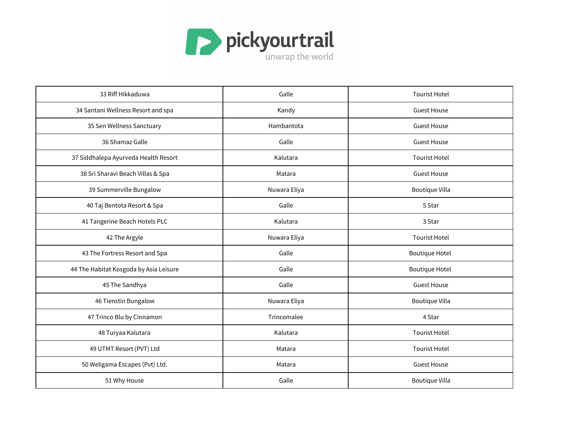

| 33 Riff Hikkaduwa                      | Galle                                | <b>Tourist Hotel</b>  |  |
|----------------------------------------|--------------------------------------|-----------------------|--|
| 34 Santani Wellness Resort and spa     | Kandy                                | <b>Guest House</b>    |  |
| 35 Sen Wellness Sanctuary              | Hambantota                           | <b>Guest House</b>    |  |
| 36 Shamaz Galle                        | Galle                                | <b>Guest House</b>    |  |
| 37 Siddhalepa Ayurveda Health Resort   | Kalutara                             | <b>Tourist Hotel</b>  |  |
| 38 Sri Sharavi Beach Villas & Spa      | Matara                               | <b>Guest House</b>    |  |
| 39 Summerville Bungalow                | Nuwara Eliya                         | <b>Boutique Villa</b> |  |
| 40 Taj Bentota Resort & Spa            | Galle                                | 5 Star                |  |
| 41 Tangerine Beach Hotels PLC          | Kalutara                             | 3 Star                |  |
| 42 The Argyle                          | Nuwara Eliya<br><b>Tourist Hotel</b> |                       |  |
| 43 The Fortress Resort and Spa         | Galle                                | <b>Boutique Hotel</b> |  |
| 44 The Habitat Kosgoda by Asia Leisure | Galle                                | <b>Boutique Hotel</b> |  |
| 45 The Sandhya                         | Galle                                | <b>Guest House</b>    |  |
| 46 Tienstin Bungalow                   | Nuwara Eliya                         | <b>Boutique Villa</b> |  |
| 47 Trinco Blu by Cinnamon              | Trincomalee                          | 4 Star                |  |
| 48 Turyaa Kalutara                     | Kalutara                             | <b>Tourist Hotel</b>  |  |
| 49 UTMT Resort (PVT) Ltd               | Matara                               | <b>Tourist Hotel</b>  |  |
| 50 Weligama Escapes (Pvt) Ltd.         | Matara                               | <b>Guest House</b>    |  |
| 51 Why House                           | Galle                                | <b>Boutique Villa</b> |  |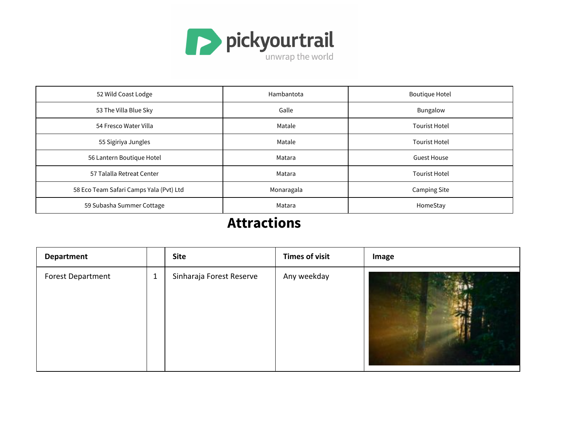

| 52 Wild Coast Lodge                     | Hambantota | <b>Boutique Hotel</b> |
|-----------------------------------------|------------|-----------------------|
| 53 The Villa Blue Sky                   | Galle      | Bungalow              |
| 54 Fresco Water Villa                   | Matale     | <b>Tourist Hotel</b>  |
| 55 Sigiriya Jungles                     | Matale     | <b>Tourist Hotel</b>  |
| 56 Lantern Boutique Hotel               | Matara     | <b>Guest House</b>    |
| 57 Talalla Retreat Center               | Matara     | <b>Tourist Hotel</b>  |
| 58 Eco Team Safari Camps Yala (Pvt) Ltd | Monaragala | <b>Camping Site</b>   |
| 59 Subasha Summer Cottage               | Matara     | HomeStay              |

## **Attractions**

| <b>Department</b> |              | <b>Site</b>              | <b>Times of visit</b> | Image |
|-------------------|--------------|--------------------------|-----------------------|-------|
| Forest Department | $\mathbf{1}$ | Sinharaja Forest Reserve | Any weekday           |       |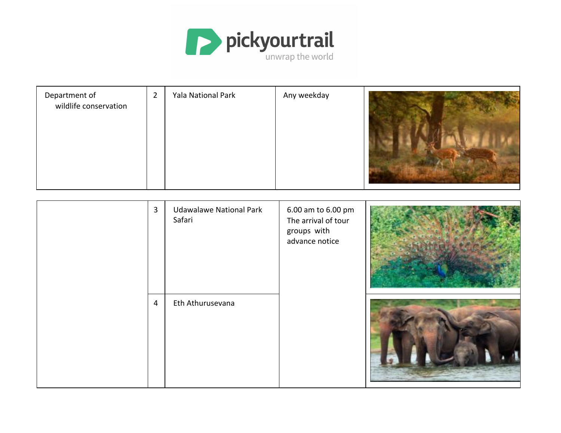

| Department of<br>wildlife conservation | $\overline{2}$ | Yala National Park | Any weekday |  |
|----------------------------------------|----------------|--------------------|-------------|--|
|----------------------------------------|----------------|--------------------|-------------|--|

| $\overline{3}$ | <b>Udawalawe National Park</b><br>Safari | 6.00 am to 6.00 pm<br>The arrival of tour<br>groups with<br>advance notice |  |
|----------------|------------------------------------------|----------------------------------------------------------------------------|--|
| $\overline{4}$ | Eth Athurusevana                         |                                                                            |  |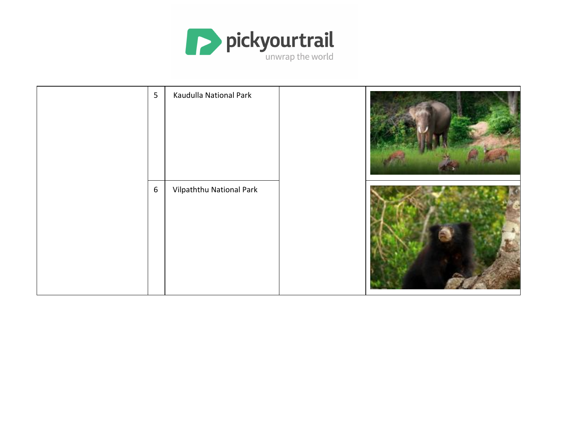

| 5               | Kaudulla National Park   |  |
|-----------------|--------------------------|--|
| $6\phantom{.}6$ | Vilpaththu National Park |  |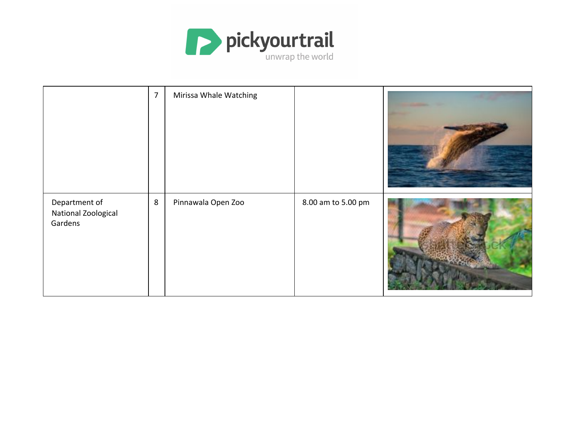

|                                                 | $\overline{7}$ | Mirissa Whale Watching |                    |  |
|-------------------------------------------------|----------------|------------------------|--------------------|--|
| Department of<br>National Zoological<br>Gardens | $\,8\,$        | Pinnawala Open Zoo     | 8.00 am to 5.00 pm |  |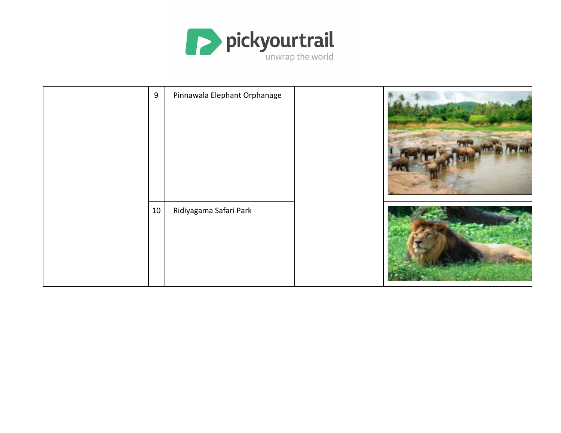

| $\boldsymbol{9}$ | Pinnawala Elephant Orphanage |  |
|------------------|------------------------------|--|
| 10               | Ridiyagama Safari Park       |  |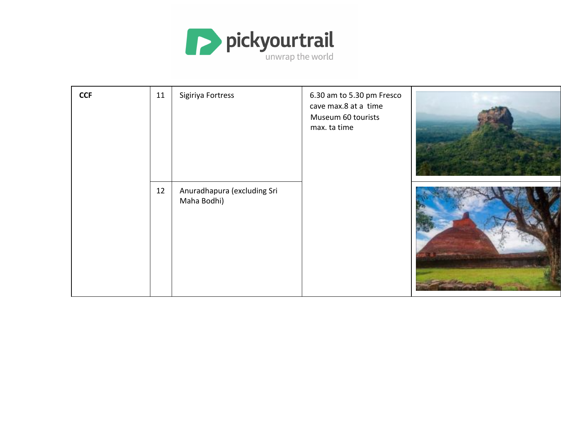

| CCF | 11 | Sigiriya Fortress                          | 6.30 am to 5.30 pm Fresco<br>cave max.8 at a time<br>Museum 60 tourists<br>max. ta time |  |
|-----|----|--------------------------------------------|-----------------------------------------------------------------------------------------|--|
|     | 12 | Anuradhapura (excluding Sri<br>Maha Bodhi) |                                                                                         |  |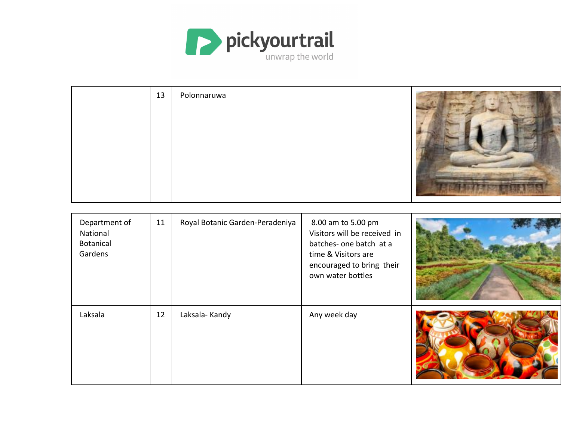

|  | 13 | Polonnaruwa |  |  |
|--|----|-------------|--|--|
|--|----|-------------|--|--|

| Department of<br>National<br>Botanical<br>Gardens | 11 | Royal Botanic Garden-Peradeniya | 8.00 am to 5.00 pm<br>Visitors will be received in<br>batches- one batch at a<br>time & Visitors are<br>encouraged to bring their<br>own water bottles |  |
|---------------------------------------------------|----|---------------------------------|--------------------------------------------------------------------------------------------------------------------------------------------------------|--|
| Laksala                                           | 12 | Laksala-Kandy                   | Any week day                                                                                                                                           |  |